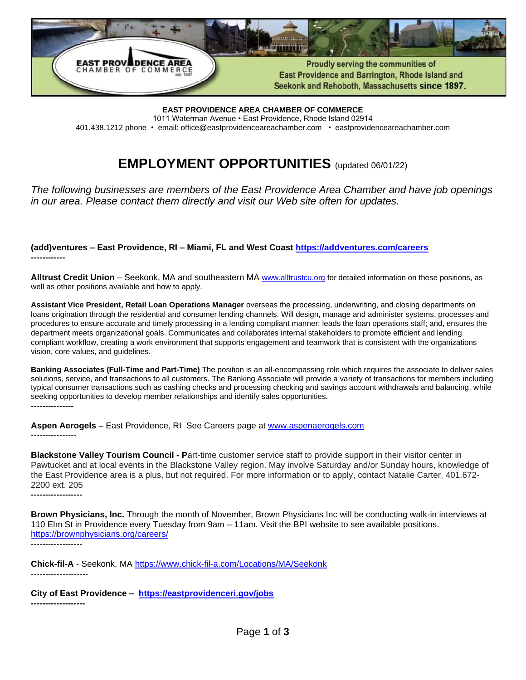

**EAST PROVIDENCE AREA CHAMBER OF COMMERCE** 1011 Waterman Avenue • East Providence, Rhode Island 02914 401.438.1212 phone • email: office@eastprovidenceareachamber.com • eastprovidenceareachamber.com

# **EMPLOYMENT OPPORTUNITIES** (updated 06/01/22)

*The following businesses are members of the East Providence Area Chamber and have job openings in our area. Please contact them directly and visit our Web site often for updates.*

**(add)ventures – East Providence, RI – Miami, FL and West Coast<https://addventures.com/careers> ------------**

**Alltrust Credit Union** – Seekonk, MA and southeastern MA [www.alltrustcu.org](https://url.emailprotection.link/?bE9RPIm1nV8rsFBvXYuZfX2nMWGXGb8viFKgDA20kDdmZFcnoMs9A71k3ZOVyS5OdY0Mp8-rKJLGks_RCPw-Lxg~~) for detailed information on these positions, as well as other positions available and how to apply.

**Assistant Vice President, Retail Loan Operations Manager** overseas the processing, underwriting, and closing departments on loans origination through the residential and consumer lending channels. Will design, manage and administer systems, processes and procedures to ensure accurate and timely processing in a lending compliant manner; leads the loan operations staff; and, ensures the department meets organizational goals. Communicates and collaborates internal stakeholders to promote efficient and lending compliant workflow, creating a work environment that supports engagement and teamwork that is consistent with the organizations vision, core values, and guidelines.

**Banking Associates (Full-Time and Part-Time)** The position is an all-encompassing role which requires the associate to deliver sales solutions, service, and transactions to all customers. The Banking Associate will provide a variety of transactions for members including typical consumer transactions such as cashing checks and processing checking and savings account withdrawals and balancing, while seeking opportunities to develop member relationships and identify sales opportunities. **---------------**

**Aspen Aerogels** – East Providence, RI See Careers page at [www.aspenaerogels.com](http://www.aspenaerogels.com/) ----------------

**Blackstone Valley Tourism Council - P**art-time customer service staff to provide support in their visitor center in Pawtucket and at local events in the Blackstone Valley region. May involve Saturday and/or Sunday hours, knowledge of the East Providence area is a plus, but not required. For more information or to apply, contact Natalie Carter, 401.672- 2200 ext. 205 **------------------**

**Brown Physicians, Inc.** Through the month of November, Brown Physicians Inc will be conducting walk-in interviews at 110 Elm St in Providence every Tuesday from 9am – 11am. Visit the BPI website to see available positions. <https://brownphysicians.org/careers/> ------------------

**Chick-fil-A** - Seekonk, MA <https://www.chick-fil-a.com/Locations/MA/Seekonk> --------------------

**City of East Providence – <https://eastprovidenceri.gov/jobs> -------------------**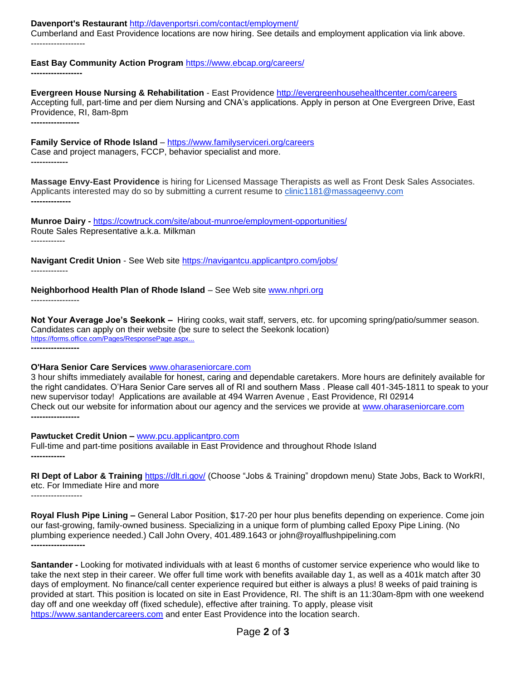**Davenport's Restaurant** <http://davenportsri.com/contact/employment/>

Cumberland and East Providence locations are now hiring. See details and employment application via link above. -------------------

**East Bay Community Action Program** <https://www.ebcap.org/careers/>

**------------------**

**Evergreen House Nursing & Rehabilitation** - East Providence <http://evergreenhousehealthcenter.com/careers> Accepting full, part-time and per diem Nursing and CNA's applications. Apply in person at One Evergreen Drive, East Providence, RI, 8am-8pm **-----------------**

**Family Service of Rhode Island** – <https://www.familyserviceri.org/careers> Case and project managers, FCCP, behavior specialist and more. **-------------**

**Massage Envy-East Providence** is hiring for Licensed Massage Therapists as well as Front Desk Sales Associates. Applicants interested may do so by submitting a current resume to [clinic1181@massageenvy.com](mailto:clinic1181@massageenvy.com) **--------------**

**Munroe Dairy -** <https://cowtruck.com/site/about-munroe/employment-opportunities/> Route Sales Representative a.k.a. Milkman ------------

**Navigant Credit Union** - See Web site<https://navigantcu.applicantpro.com/jobs/> -------------

**Neighborhood Health Plan of Rhode Island** – See Web site [www.nhpri.org](http://www.nhpri.org/)

-----------------

**Not Your Average Joe's Seekonk –** Hiring cooks, wait staff, servers, etc. for upcoming spring/patio/summer season. Candidates can apply on their website (be sure to select the Seekonk location) <https://forms.office.com/Pages/ResponsePage.aspx...> **-----------------**

#### **O'Hara Senior Care Services** [www.oharaseniorcare.com](http://www.oharaseniorcare.com/)

3 hour shifts immediately available for honest, caring and dependable caretakers. More hours are definitely available for the right candidates. O'Hara Senior Care serves all of RI and southern Mass . Please call 401-345-1811 to speak to your new supervisor today! Applications are available at 494 Warren Avenue , East Providence, RI 02914 Check out our website for information about our agency and the services we provide at [www.oharaseniorcare.com](http://www.oharaseniorcare.com/) **-----------------**

## **Pawtucket Credit Union –** [www.pcu.applicantpro.com](http://www.pcu.applicantpro.com/)

Full-time and part-time positions available in East Providence and throughout Rhode Island **------------**

**RI Dept of Labor & Training** <https://dlt.ri.gov/> (Choose "Jobs & Training" dropdown menu) State Jobs, Back to WorkRI, etc. For Immediate Hire and more ------------------

**Royal Flush Pipe Lining –** General Labor Position, \$17-20 per hour plus benefits depending on experience. Come join our fast-growing, family-owned business. Specializing in a unique form of plumbing called Epoxy Pipe Lining. (No plumbing experience needed.) Call John Overy, 401.489.1643 or john@royalflushpipelining.com **-------------------**

**Santander -** Looking for motivated individuals with at least 6 months of customer service experience who would like to take the next step in their career. We offer full time work with benefits available day 1, as well as a 401k match after 30 days of employment. No finance/call center experience required but either is always a plus! 8 weeks of paid training is provided at start. This position is located on site in East Providence, RI. The shift is an 11:30am-8pm with one weekend day off and one weekday off (fixed schedule), effective after training. To apply, please visit [https://www.santandercareers.com](https://www.santandercareers.com/) and enter East Providence into the location search.